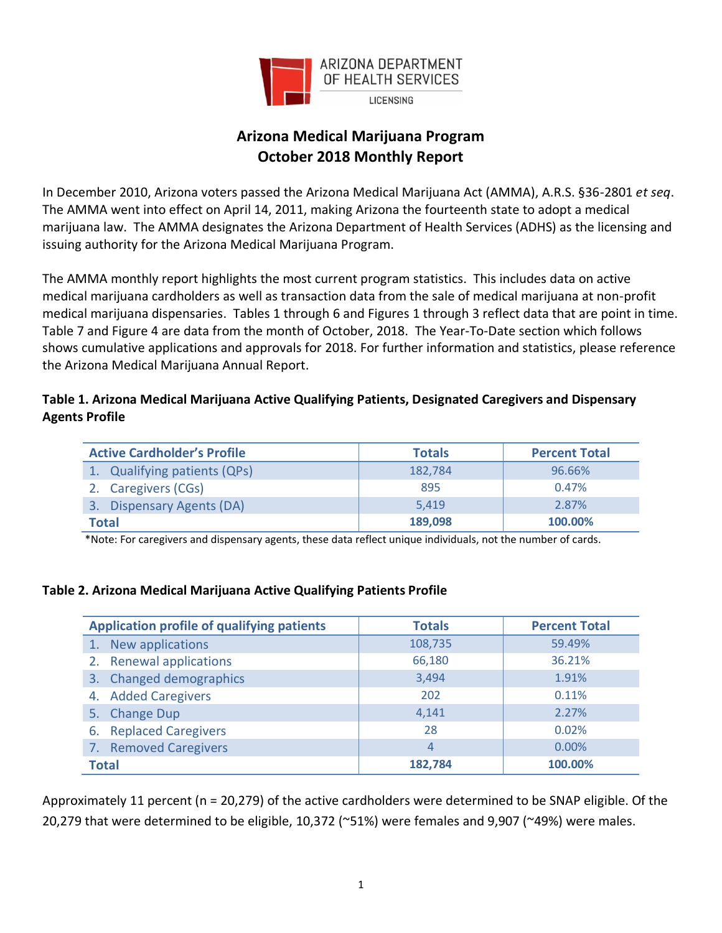

# **Arizona Medical Marijuana Program October 2018 Monthly Report**

In December 2010, Arizona voters passed the Arizona Medical Marijuana Act (AMMA), A.R.S. §36-2801 *et seq*. The AMMA went into effect on April 14, 2011, making Arizona the fourteenth state to adopt a medical marijuana law. The AMMA designates the Arizona Department of Health Services (ADHS) as the licensing and issuing authority for the Arizona Medical Marijuana Program.

The AMMA monthly report highlights the most current program statistics. This includes data on active medical marijuana cardholders as well as transaction data from the sale of medical marijuana at non-profit medical marijuana dispensaries. Tables 1 through 6 and Figures 1 through 3 reflect data that are point in time. Table 7 and Figure 4 are data from the month of October, 2018. The Year-To-Date section which follows shows cumulative applications and approvals for 2018. For further information and statistics, please reference the Arizona Medical Marijuana Annual Report.

## **Table 1. Arizona Medical Marijuana Active Qualifying Patients, Designated Caregivers and Dispensary Agents Profile**

| <b>Active Cardholder's Profile</b> | <b>Totals</b> | <b>Percent Total</b> |
|------------------------------------|---------------|----------------------|
| 1. Qualifying patients (QPs)       | 182.784       | 96.66%               |
| 2. Caregivers (CGs)                | 895           | 0.47%                |
| 3. Dispensary Agents (DA)          | 5.419         | 2.87%                |
| <b>Total</b>                       | 189,098       | 100.00%              |

\*Note: For caregivers and dispensary agents, these data reflect unique individuals, not the number of cards.

#### **Table 2. Arizona Medical Marijuana Active Qualifying Patients Profile**

| <b>Application profile of qualifying patients</b> | <b>Totals</b>  | <b>Percent Total</b> |
|---------------------------------------------------|----------------|----------------------|
| New applications                                  | 108,735        | 59.49%               |
| 2. Renewal applications                           | 66,180         | 36.21%               |
| 3. Changed demographics                           | 3,494          | 1.91%                |
| 4. Added Caregivers                               | 202            | 0.11%                |
| 5. Change Dup                                     | 4,141          | 2.27%                |
| 6. Replaced Caregivers                            | 28             | 0.02%                |
| 7. Removed Caregivers                             | $\overline{4}$ | $0.00\%$             |
| <b>Total</b>                                      | 182,784        | 100.00%              |

Approximately 11 percent (n = 20,279) of the active cardholders were determined to be SNAP eligible. Of the 20,279 that were determined to be eligible, 10,372 (~51%) were females and 9,907 (~49%) were males.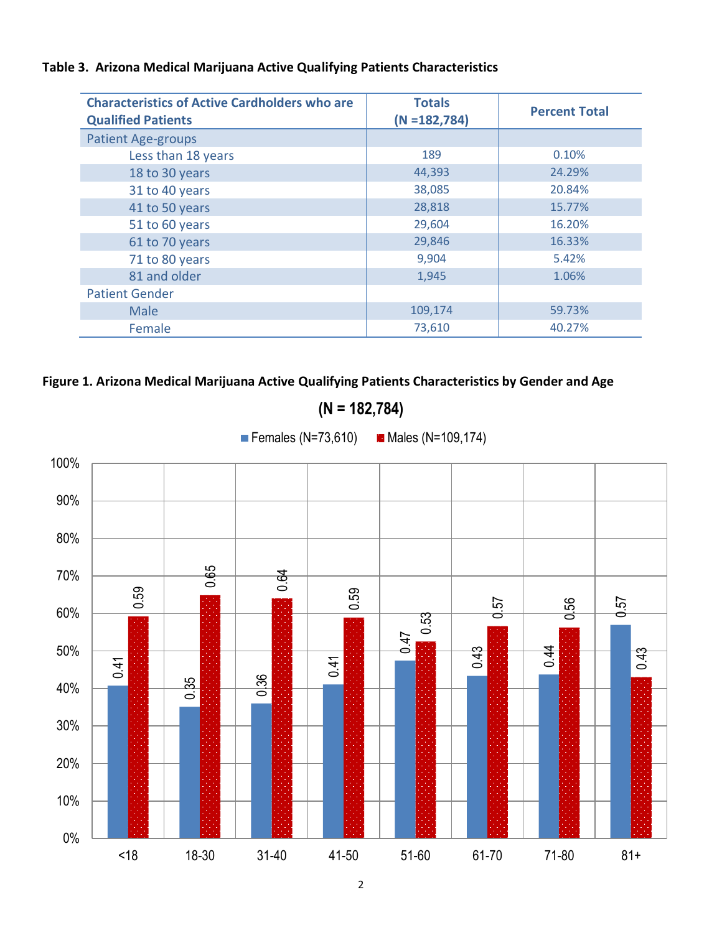# **Table 3. Arizona Medical Marijuana Active Qualifying Patients Characteristics**

| <b>Characteristics of Active Cardholders who are</b><br><b>Qualified Patients</b> | <b>Totals</b><br>$(N = 182, 784)$ | <b>Percent Total</b> |
|-----------------------------------------------------------------------------------|-----------------------------------|----------------------|
| <b>Patient Age-groups</b>                                                         |                                   |                      |
| Less than 18 years                                                                | 189                               | 0.10%                |
| 18 to 30 years                                                                    | 44,393                            | 24.29%               |
| 31 to 40 years                                                                    | 38,085                            | 20.84%               |
| 41 to 50 years                                                                    | 28,818                            | 15.77%               |
| 51 to 60 years                                                                    | 29,604                            | 16.20%               |
| 61 to 70 years                                                                    | 29,846                            | 16.33%               |
| 71 to 80 years                                                                    | 9,904                             | 5.42%                |
| 81 and older                                                                      | 1,945                             | 1.06%                |
| <b>Patient Gender</b>                                                             |                                   |                      |
| Male                                                                              | 109,174                           | 59.73%               |
| Female                                                                            | 73,610                            | 40.27%               |

# **Figure 1. Arizona Medical Marijuana Active Qualifying Patients Characteristics by Gender and Age**



**(N = 182,784)**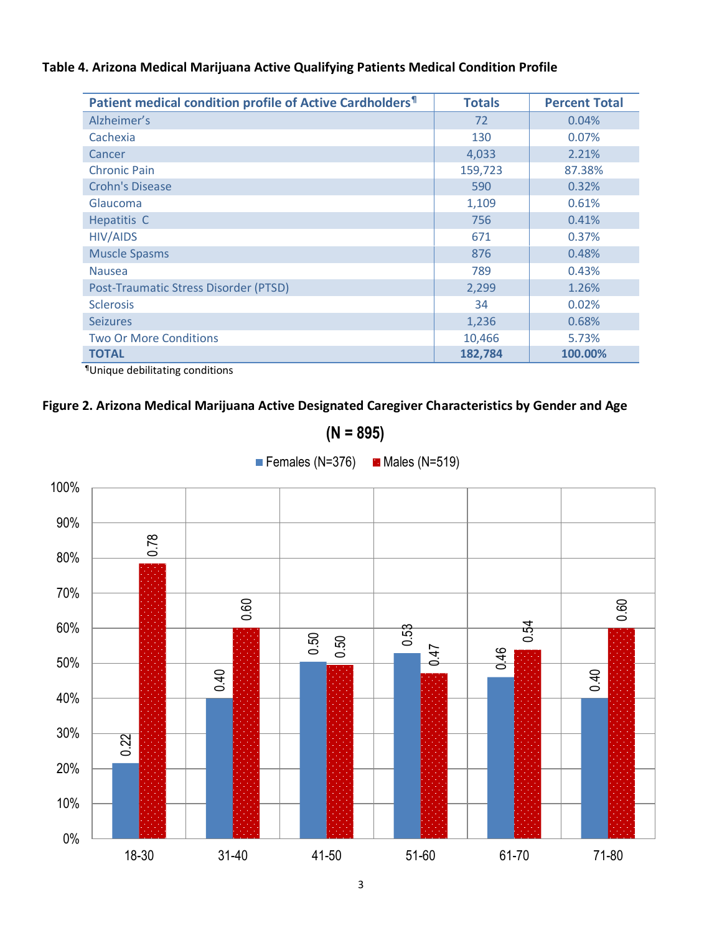# **Table 4. Arizona Medical Marijuana Active Qualifying Patients Medical Condition Profile**

| Patient medical condition profile of Active Cardholders <sup>1</sup> | <b>Totals</b> | <b>Percent Total</b> |
|----------------------------------------------------------------------|---------------|----------------------|
| Alzheimer's                                                          | 72            | 0.04%                |
| Cachexia                                                             | 130           | 0.07%                |
| Cancer                                                               | 4,033         | 2.21%                |
| <b>Chronic Pain</b>                                                  | 159,723       | 87.38%               |
| <b>Crohn's Disease</b>                                               | 590           | 0.32%                |
| Glaucoma                                                             | 1,109         | 0.61%                |
| Hepatitis C                                                          | 756           | 0.41%                |
| <b>HIV/AIDS</b>                                                      | 671           | 0.37%                |
| <b>Muscle Spasms</b>                                                 | 876           | 0.48%                |
| <b>Nausea</b>                                                        | 789           | 0.43%                |
| Post-Traumatic Stress Disorder (PTSD)                                | 2,299         | 1.26%                |
| <b>Sclerosis</b>                                                     | 34            | 0.02%                |
| <b>Seizures</b>                                                      | 1,236         | 0.68%                |
| <b>Two Or More Conditions</b>                                        | 10,466        | 5.73%                |
| <b>TOTAL</b>                                                         | 182,784       | 100.00%              |

¶Unique debilitating conditions

# **Figure 2. Arizona Medical Marijuana Active Designated Caregiver Characteristics by Gender and Age**

**(N = 895)**

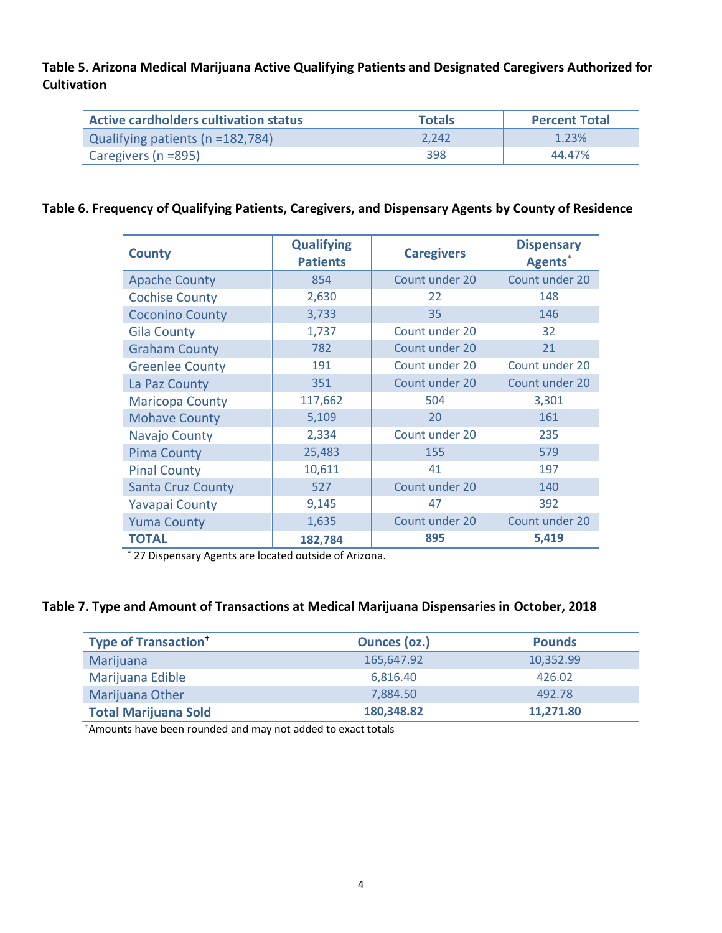# **Table 5. Arizona Medical Marijuana Active Qualifying Patients and Designated Caregivers Authorized for Cultivation**

| Active cardholders cultivation status | <b>Totals</b> | <b>Percent Total</b> |
|---------------------------------------|---------------|----------------------|
| Qualifying patients (n =182,784)      | 2.242         | 1.23%                |
| Caregivers (n =895)                   | 398           | 44.47%               |

#### **Table 6. Frequency of Qualifying Patients, Caregivers, and Dispensary Agents by County of Residence**

| <b>County</b>            | <b>Qualifying</b><br><b>Patients</b> | <b>Caregivers</b> | <b>Dispensary</b><br>Agents <sup>*</sup> |
|--------------------------|--------------------------------------|-------------------|------------------------------------------|
| <b>Apache County</b>     | 854                                  | Count under 20    | Count under 20                           |
| <b>Cochise County</b>    | 2,630                                | 22                | 148                                      |
| <b>Coconino County</b>   | 3,733                                | 35                | 146                                      |
| <b>Gila County</b>       | 1,737                                | Count under 20    | 32                                       |
| <b>Graham County</b>     | 782                                  | Count under 20    | 21                                       |
| <b>Greenlee County</b>   | 191                                  | Count under 20    | Count under 20                           |
| La Paz County            | 351                                  | Count under 20    | Count under 20                           |
| <b>Maricopa County</b>   | 117,662                              | 504               | 3,301                                    |
| <b>Mohave County</b>     | 5,109                                | 20                | 161                                      |
| Navajo County            | 2,334                                | Count under 20    | 235                                      |
| <b>Pima County</b>       | 25,483                               | 155               | 579                                      |
| <b>Pinal County</b>      | 10,611                               | 41                | 197                                      |
| <b>Santa Cruz County</b> | 527                                  | Count under 20    | 140                                      |
| <b>Yavapai County</b>    | 9,145                                | 47                | 392                                      |
| <b>Yuma County</b>       | 1,635                                | Count under 20    | Count under 20                           |
| TOTAL                    | 182,784                              | 895               | 5,419                                    |

\* 27 Dispensary Agents are located outside of Arizona.

#### **Table 7. Type and Amount of Transactions at Medical Marijuana Dispensaries in October, 2018**

| <b>Type of Transaction<sup>†</sup></b> | <b>Ounces (oz.)</b> | <b>Pounds</b> |
|----------------------------------------|---------------------|---------------|
| Marijuana                              | 165,647.92          | 10,352.99     |
| Marijuana Edible                       | 6,816.40            | 426.02        |
| Marijuana Other                        | 7,884.50            | 492.78        |
| <b>Total Marijuana Sold</b>            | 180,348.82          | 11.271.80     |

†Amounts have been rounded and may not added to exact totals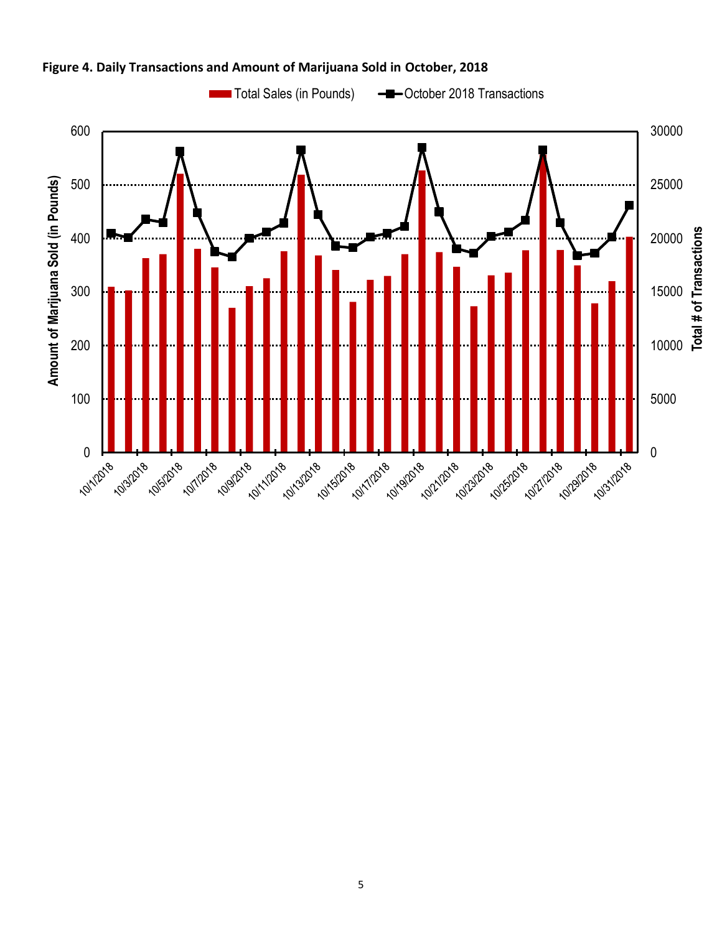

## **Figure 4. Daily Transactions and Amount of Marijuana Sold in October, 2018**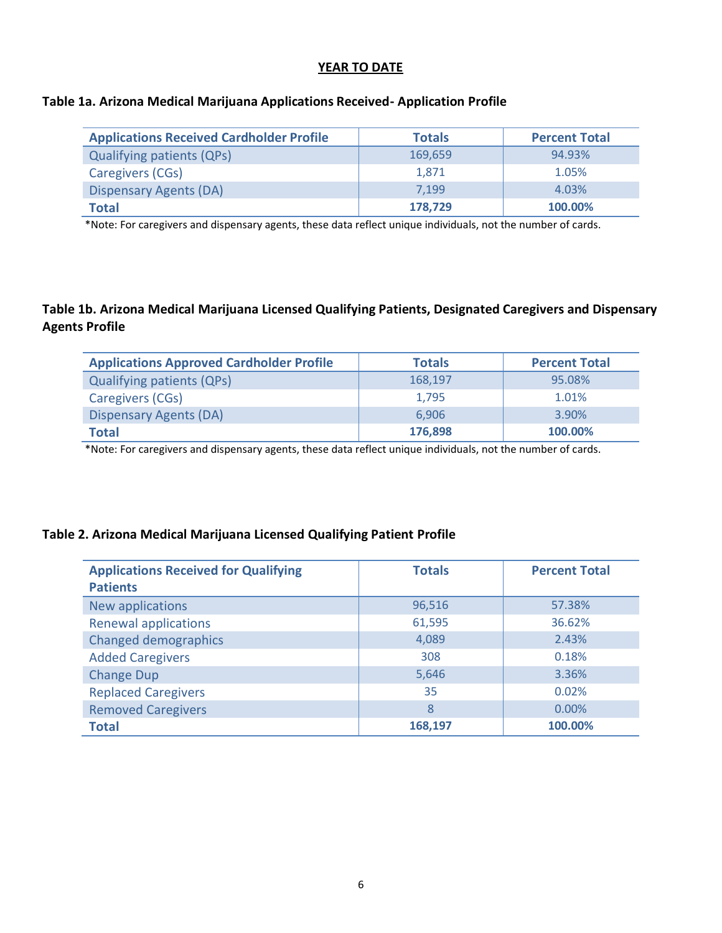#### **YEAR TO DATE**

#### **Table 1a. Arizona Medical Marijuana Applications Received- Application Profile**

| <b>Applications Received Cardholder Profile</b> | <b>Totals</b> | <b>Percent Total</b> |
|-------------------------------------------------|---------------|----------------------|
| <b>Qualifying patients (QPs)</b>                | 169,659       | 94.93%               |
| Caregivers (CGs)                                | 1.871         | 1.05%                |
| <b>Dispensary Agents (DA)</b>                   | 7.199         | 4.03%                |
| Total                                           | 178,729       | 100.00%              |

\*Note: For caregivers and dispensary agents, these data reflect unique individuals, not the number of cards.

## **Table 1b. Arizona Medical Marijuana Licensed Qualifying Patients, Designated Caregivers and Dispensary Agents Profile**

| <b>Applications Approved Cardholder Profile</b> | <b>Totals</b> | <b>Percent Total</b> |
|-------------------------------------------------|---------------|----------------------|
| <b>Qualifying patients (QPs)</b>                | 168,197       | 95.08%               |
| Caregivers (CGs)                                | 1.795         | 1.01%                |
| <b>Dispensary Agents (DA)</b>                   | 6.906         | 3.90%                |
| <b>Total</b>                                    | 176,898       | 100.00%              |

\*Note: For caregivers and dispensary agents, these data reflect unique individuals, not the number of cards.

#### **Table 2. Arizona Medical Marijuana Licensed Qualifying Patient Profile**

| <b>Applications Received for Qualifying</b><br><b>Patients</b> | <b>Totals</b> | <b>Percent Total</b> |
|----------------------------------------------------------------|---------------|----------------------|
| New applications                                               | 96,516        | 57.38%               |
| <b>Renewal applications</b>                                    | 61,595        | 36.62%               |
| <b>Changed demographics</b>                                    | 4,089         | 2.43%                |
| <b>Added Caregivers</b>                                        | 308           | 0.18%                |
| <b>Change Dup</b>                                              | 5,646         | 3.36%                |
| <b>Replaced Caregivers</b>                                     | 35            | 0.02%                |
| <b>Removed Caregivers</b>                                      | 8             | $0.00\%$             |
| <b>Total</b>                                                   | 168,197       | 100.00%              |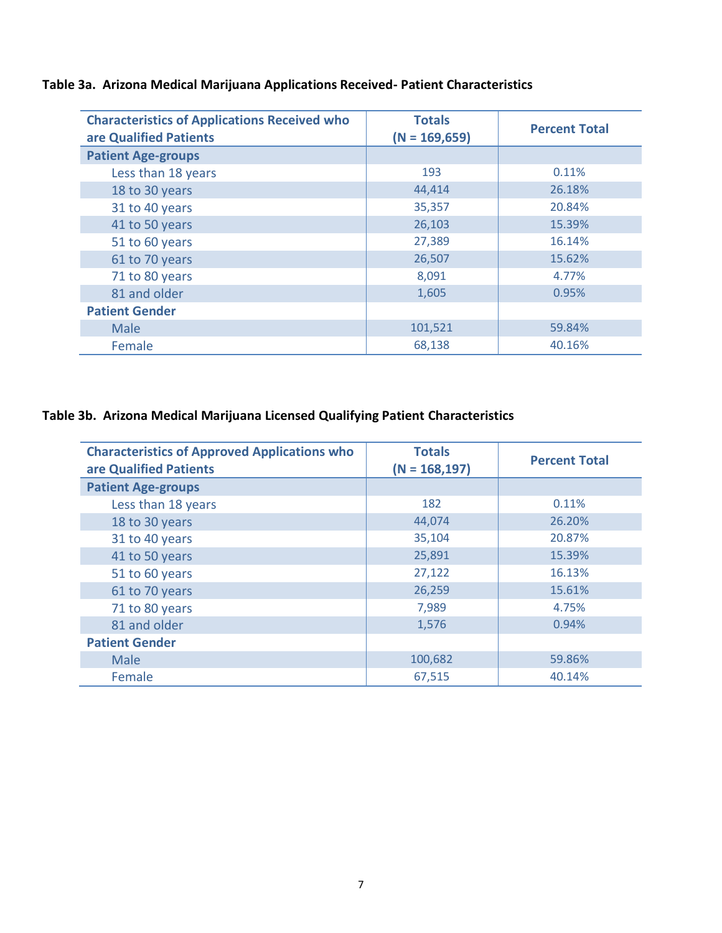| <b>Characteristics of Applications Received who</b><br>are Qualified Patients | <b>Totals</b><br>$(N = 169, 659)$ | <b>Percent Total</b> |
|-------------------------------------------------------------------------------|-----------------------------------|----------------------|
| <b>Patient Age-groups</b>                                                     |                                   |                      |
| Less than 18 years                                                            | 193                               | 0.11%                |
| 18 to 30 years                                                                | 44,414                            | 26.18%               |
| 31 to 40 years                                                                | 35,357                            | 20.84%               |
| 41 to 50 years                                                                | 26,103                            | 15.39%               |
| 51 to 60 years                                                                | 27,389                            | 16.14%               |
| 61 to 70 years                                                                | 26,507                            | 15.62%               |
| 71 to 80 years                                                                | 8,091                             | 4.77%                |
| 81 and older                                                                  | 1,605                             | 0.95%                |
| <b>Patient Gender</b>                                                         |                                   |                      |
| Male                                                                          | 101,521                           | 59.84%               |
| Female                                                                        | 68,138                            | 40.16%               |

## **Table 3a. Arizona Medical Marijuana Applications Received- Patient Characteristics**

## **Table 3b. Arizona Medical Marijuana Licensed Qualifying Patient Characteristics**

| <b>Characteristics of Approved Applications who</b><br>are Qualified Patients | <b>Totals</b><br>$(N = 168, 197)$ | <b>Percent Total</b> |
|-------------------------------------------------------------------------------|-----------------------------------|----------------------|
| <b>Patient Age-groups</b>                                                     |                                   |                      |
| Less than 18 years                                                            | 182                               | 0.11%                |
| 18 to 30 years                                                                | 44,074                            | 26.20%               |
| 31 to 40 years                                                                | 35,104                            | 20.87%               |
| 41 to 50 years                                                                | 25,891                            | 15.39%               |
| 51 to 60 years                                                                | 27,122                            | 16.13%               |
| 61 to 70 years                                                                | 26,259                            | 15.61%               |
| 71 to 80 years                                                                | 7,989                             | 4.75%                |
| 81 and older                                                                  | 1,576                             | 0.94%                |
| <b>Patient Gender</b>                                                         |                                   |                      |
| Male                                                                          | 100,682                           | 59.86%               |
| Female                                                                        | 67,515                            | 40.14%               |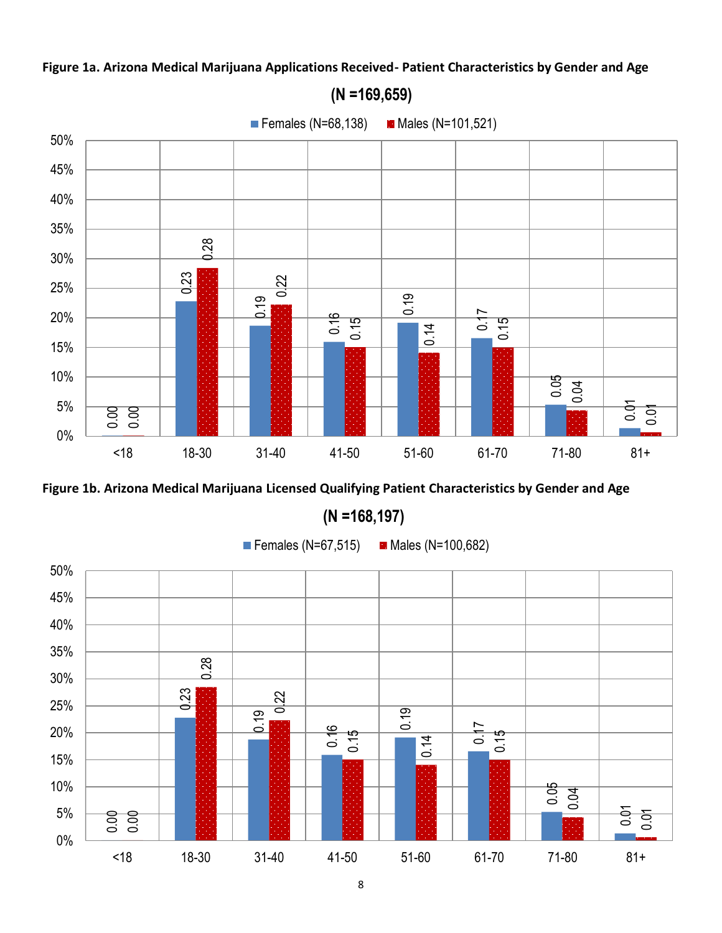# **Figure 1a. Arizona Medical Marijuana Applications Received- Patient Characteristics by Gender and Age**



**(N =169,659)**



**(N =168,197)**

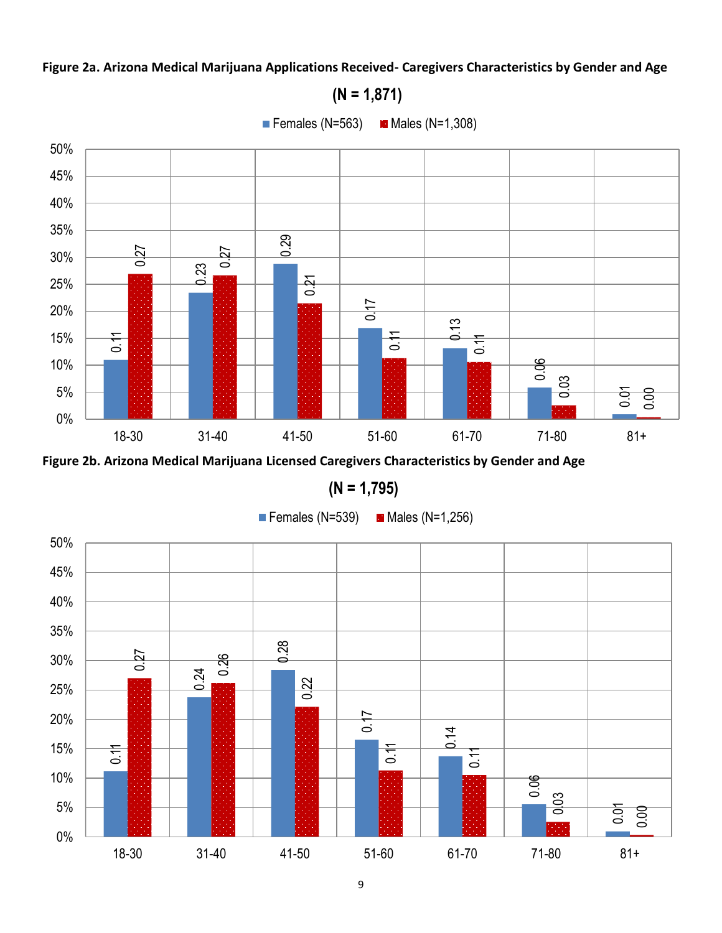## **Figure 2b. Arizona Medical Marijuana Licensed Caregivers Characteristics by Gender and Age**<br> **Figure 2b. Arizona Medical Marijuana Licensed Caregivers Characteristics by Gender and Age**<br> **Figure 2b. Arizona Medical Mariju** င်<br>၁၀၀ 0.27 0.27 0.21 0.11 0.11 0.03 0% 5% 10% 15% 20% 25% 30% 35% 40% 45% 50% 18-30 31-40 41-50 51-60 61-70 71-80 81+ Females (N=563)  $\blacksquare$  Males (N=1,308)

**Figure 2a. Arizona Medical Marijuana Applications Received- Caregivers Characteristics by Gender and Age**

**(N = 1,795)**



**(N = 1,871)**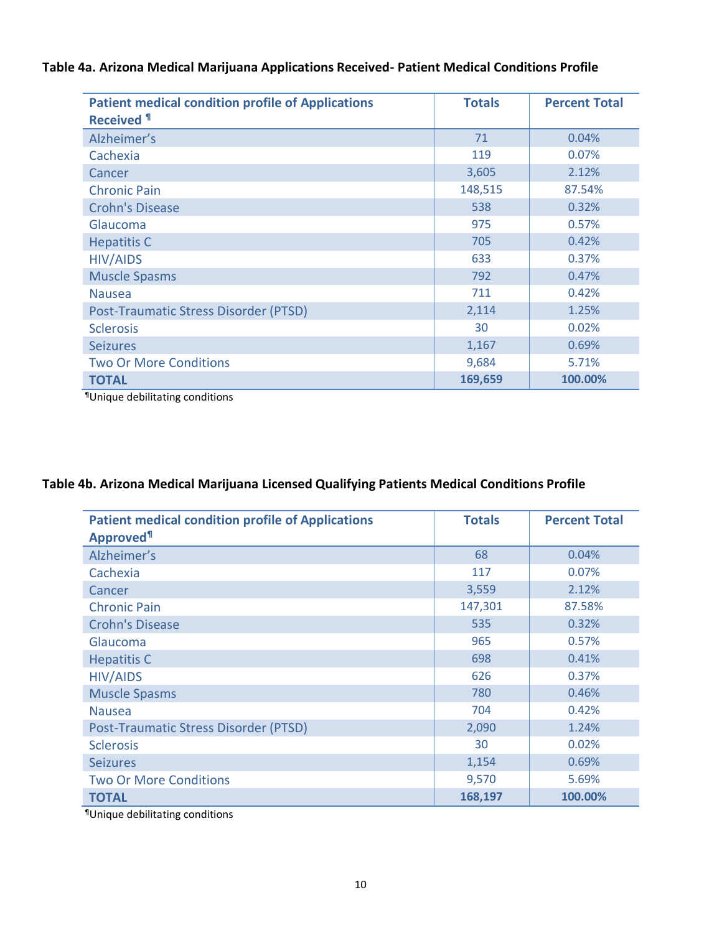# **Table 4a. Arizona Medical Marijuana Applications Received- Patient Medical Conditions Profile**

| <b>Patient medical condition profile of Applications</b><br><b>Received 1</b> | <b>Totals</b> | <b>Percent Total</b> |
|-------------------------------------------------------------------------------|---------------|----------------------|
| Alzheimer's                                                                   | 71            | 0.04%                |
| Cachexia                                                                      | 119           | 0.07%                |
| Cancer                                                                        | 3,605         | 2.12%                |
| <b>Chronic Pain</b>                                                           | 148,515       | 87.54%               |
| <b>Crohn's Disease</b>                                                        | 538           | 0.32%                |
| Glaucoma                                                                      | 975           | 0.57%                |
| <b>Hepatitis C</b>                                                            | 705           | 0.42%                |
| <b>HIV/AIDS</b>                                                               | 633           | 0.37%                |
| <b>Muscle Spasms</b>                                                          | 792           | 0.47%                |
| <b>Nausea</b>                                                                 | 711           | 0.42%                |
| <b>Post-Traumatic Stress Disorder (PTSD)</b>                                  | 2,114         | 1.25%                |
| <b>Sclerosis</b>                                                              | 30            | 0.02%                |
| <b>Seizures</b>                                                               | 1,167         | 0.69%                |
| <b>Two Or More Conditions</b>                                                 | 9,684         | 5.71%                |
| <b>TOTAL</b>                                                                  | 169,659       | 100.00%              |

¶Unique debilitating conditions

# **Table 4b. Arizona Medical Marijuana Licensed Qualifying Patients Medical Conditions Profile**

| <b>Patient medical condition profile of Applications</b> | <b>Totals</b> | <b>Percent Total</b> |
|----------------------------------------------------------|---------------|----------------------|
| <b>Approved</b> <sup>1</sup>                             |               |                      |
| Alzheimer's                                              | 68            | 0.04%                |
| Cachexia                                                 | 117           | 0.07%                |
| Cancer                                                   | 3,559         | 2.12%                |
| <b>Chronic Pain</b>                                      | 147,301       | 87.58%               |
| <b>Crohn's Disease</b>                                   | 535           | 0.32%                |
| Glaucoma                                                 | 965           | 0.57%                |
| <b>Hepatitis C</b>                                       | 698           | 0.41%                |
| <b>HIV/AIDS</b>                                          | 626           | 0.37%                |
| <b>Muscle Spasms</b>                                     | 780           | 0.46%                |
| <b>Nausea</b>                                            | 704           | 0.42%                |
| <b>Post-Traumatic Stress Disorder (PTSD)</b>             | 2,090         | 1.24%                |
| <b>Sclerosis</b>                                         | 30            | 0.02%                |
| <b>Seizures</b>                                          | 1,154         | 0.69%                |
| <b>Two Or More Conditions</b>                            | 9,570         | 5.69%                |
| <b>TOTAL</b>                                             | 168,197       | 100.00%              |

¶Unique debilitating conditions